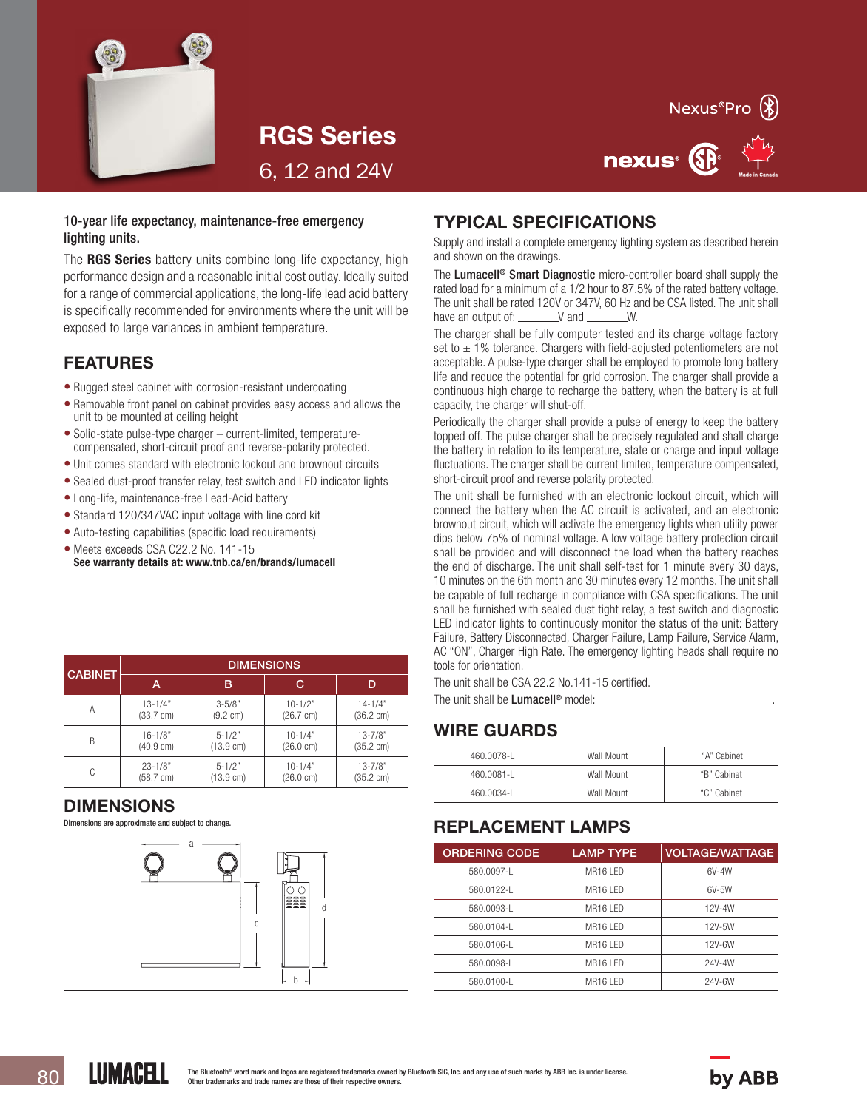



nexus<sup>®</sup>

RGS Series 6, 12 and 24V

#### 10-year life expectancy, maintenance-free emergency lighting units.

The RGS Series battery units combine long-life expectancy, high performance design and a reasonable initial cost outlay. Ideally suited for a range of commercial applications, the long-life lead acid battery is specifically recommended for environments where the unit will be exposed to large variances in ambient temperature.

## FEATURES

- Rugged steel cabinet with corrosion-resistant undercoating
- Removable front panel on cabinet provides easy access and allows the unit to be mounted at ceiling height
- Solid-state pulse-type charger current-limited, temperaturecompensated, short-circuit proof and reverse-polarity protected.
- Unit comes standard with electronic lockout and brownout circuits
- Sealed dust-proof transfer relay, test switch and LED indicator lights
- Long-life, maintenance-free Lead-Acid battery
- Standard 120/347VAC input voltage with line cord kit
- Auto-testing capabilities (specific load requirements)
- Meets exceeds CSA C22.2 No. 141-15 See warranty details at: www.tnb.ca/en/brands/lumacell

| <b>CABINET</b> | <b>DIMENSIONS</b>   |                     |                     |                     |  |  |
|----------------|---------------------|---------------------|---------------------|---------------------|--|--|
|                | Α                   | в                   | C                   | D                   |  |  |
| А              | $13 - 1/4"$         | $3 - 5/8"$          | $10 - 1/2"$         | $14 - 1/4"$         |  |  |
|                | $(33.7 \text{ cm})$ | (9.2 cm)            | $(26.7 \text{ cm})$ | $(36.2 \text{ cm})$ |  |  |
| B              | $16 - 1/8"$         | $5 - 1/2"$          | $10 - 1/4"$         | $13 - 7/8"$         |  |  |
|                | $(40.9 \text{ cm})$ | $(13.9 \text{ cm})$ | $(26.0 \text{ cm})$ | $(35.2 \text{ cm})$ |  |  |
| C              | $23 - 1/8"$         | $5 - 1/2"$          | $10 - 1/4"$         | $13 - 7/8"$         |  |  |
|                | $(58.7 \text{ cm})$ | $(13.9 \text{ cm})$ | $(26.0 \text{ cm})$ | $(35.2 \text{ cm})$ |  |  |

#### DIMENSIONS

Dimensions are approximate and subject to change.



## TYPICAL SPECIFICATIONS

Supply and install a complete emergency lighting system as described herein and shown on the drawings.

The Lumacell<sup>®</sup> Smart Diagnostic micro-controller board shall supply the rated load for a minimum of a 1/2 hour to 87.5% of the rated battery voltage. The unit shall be rated 120V or 347V, 60 Hz and be CSA listed. The unit shall have an output of:  $\angle$  V and  $\angle$  W.

The charger shall be fully computer tested and its charge voltage factory set to  $\pm$  1% tolerance. Chargers with field-adjusted potentiometers are not acceptable. A pulse-type charger shall be employed to promote long battery life and reduce the potential for grid corrosion. The charger shall provide a continuous high charge to recharge the battery, when the battery is at full capacity, the charger will shut-off.

Periodically the charger shall provide a pulse of energy to keep the battery topped off. The pulse charger shall be precisely regulated and shall charge the battery in relation to its temperature, state or charge and input voltage fluctuations. The charger shall be current limited, temperature compensated, short-circuit proof and reverse polarity protected.

The unit shall be furnished with an electronic lockout circuit, which will connect the battery when the AC circuit is activated, and an electronic brownout circuit, which will activate the emergency lights when utility power dips below 75% of nominal voltage. A low voltage battery protection circuit shall be provided and will disconnect the load when the battery reaches the end of discharge. The unit shall self-test for 1 minute every 30 days, 10 minutes on the 6th month and 30 minutes every 12 months. The unit shall be capable of full recharge in compliance with CSA specifications. The unit shall be furnished with sealed dust tight relay, a test switch and diagnostic LED indicator lights to continuously monitor the status of the unit: Battery Failure, Battery Disconnected, Charger Failure, Lamp Failure, Service Alarm, AC "ON", Charger High Rate. The emergency lighting heads shall require no tools for orientation.

The unit shall be CSA 22.2 No.141-15 certified.

The unit shall be **Lumacell®** model:

## WIRE GUARDS

| 460.0078-L | Wall Mount | "A" Cabinet |
|------------|------------|-------------|
| 460.0081-L | Wall Mount | "B" Cabinet |
| 460.0034-1 | Wall Mount | "C" Cabinet |

## REPLACEMENT LAMPS

| <b>ORDERING CODE</b> | <b>LAMP TYPE</b>     | <b>VOLTAGE/WATTAGE</b> |
|----------------------|----------------------|------------------------|
| 580.0097-1           | MR <sub>16</sub> IFD | 6V-4W                  |
| 580.0122-1           | MR <sub>16</sub> IFD | $6V-5W$                |
| 580.0093-L           | MR <sub>16</sub> IFD | 12V-4W                 |
| 580.0104-L           | MR16 I FD            | 12V-5W                 |
| 580.0106-L           | MR16 I FD            | 12V-6W                 |
| 580.0098-L           | MR <sub>16</sub> IFD | 24V-4W                 |
| 580.0100-L           | MR16 I FD            | 24V-6W                 |